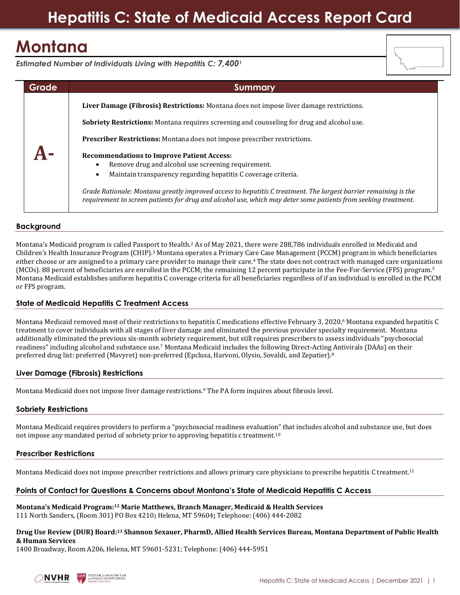# **Hepatitis C: State of Medicaid Access Report Card**

# **Montana**

*Estimated Number of Individuals Living with Hepatitis C: 7,400<sup>1</sup>*

| Grade | <b>Summary</b>                                                                                                                                                                                                                    |
|-------|-----------------------------------------------------------------------------------------------------------------------------------------------------------------------------------------------------------------------------------|
|       | Liver Damage (Fibrosis) Restrictions: Montana does not impose liver damage restrictions.                                                                                                                                          |
|       | Sobriety Restrictions: Montana requires screening and counseling for drug and alcohol use.                                                                                                                                        |
|       | <b>Prescriber Restrictions:</b> Montana does not impose prescriber restrictions.                                                                                                                                                  |
|       | <b>Recommendations to Improve Patient Access:</b><br>Remove drug and alcohol use screening requirement.<br>Maintain transparency regarding hepatitis C coverage criteria.<br>$\bullet$                                            |
|       | Grade Rationale: Montana greatly improved access to hepatitis C treatment. The largest barrier remaining is the<br>requirement to screen patients for drug and alcohol use, which may deter some patients from seeking treatment. |

### **Background**

Montana's Medicaid program is called Passport to Health.<sup>2</sup> As of May 2021, there were 288,786 individuals enrolled in Medicaid and Children's Health Insurance Program (CHIP).<sup>3</sup> Montana operates a Primary Care Case Management (PCCM) program in which beneficiaries either choose or are assigned to a primary care provider to manage their care.<sup>4</sup> The state does not contract with managed care organizations (MCOs). 88 percent of beneficiaries are enrolled in the PCCM; the remaining 12 percent participate in the Fee-For-Service (FFS) program.<sup>5</sup> Montana Medicaid establishes uniform hepatitis C coverage criteria for all beneficiaries regardless of if an individual is enrolled in the PCCM or FFS program.

### **State of Medicaid Hepatitis C Treatment Access**

Montana Medicaid removed most of their restrictions to hepatitis C medications effective February 3, 2020.<sup>6</sup> Montana expanded hepatitis C treatment to cover individuals with all stages of liver damage and eliminated the previous provider specialty requirement. Montana additionally eliminated the previous six-month sobriety requirement, but still requires prescribers to assess individuals "psychosocial readiness" including alcohol and substance use.<sup>7</sup> Montana Medicaid includes the following Direct-Acting Antivirals (DAAs) on their preferred drug list: preferred (Mavyret) non-preferred (Epclusa, Harvoni, Olysio, Sovaldi, and Zepatier).<sup>8</sup>

### **Liver Damage (Fibrosis) Restrictions**

Montana Medicaid does not impose liver damage restrictions.<sup>9</sup> The PA form inquires about fibrosis level.

### **Sobriety Restrictions**

Montana Medicaid requires providers to perform a "psychosocial readiness evaluation" that includes alcohol and substance use, but does not impose any mandated period of sobriety prior to approving hepatitis c treatment.<sup>10</sup>

### **Prescriber Restrictions**

Montana Medicaid does not impose prescriber restrictions and allows primary care physicians to prescribe hepatitis C treatment.<sup>11</sup>

### **Points of Contact for Questions & Concerns about Montana's State of Medicaid Hepatitis C Access**

**Montana's Medicaid Program:<sup>12</sup> Marie Matthews, Branch Manager, Medicaid & Health Services** 111 North Sanders, (Room 301) PO Box 4210**;** Helena, MT 59604**;** Telephone: (406) 444-2082

#### **Drug Use Review (DUR) Board: <sup>13</sup> Shannon Sexauer, PharmD, Allied Health Services Bureau, Montana Department of Public Health & Human Services**

1400 Broadway, Room A206, Helena, MT 59601-5231; Telephone: (406) 444-5951

**CENTER for HEALTH LAV**<br>and POLICY INNOVATION

NVHR